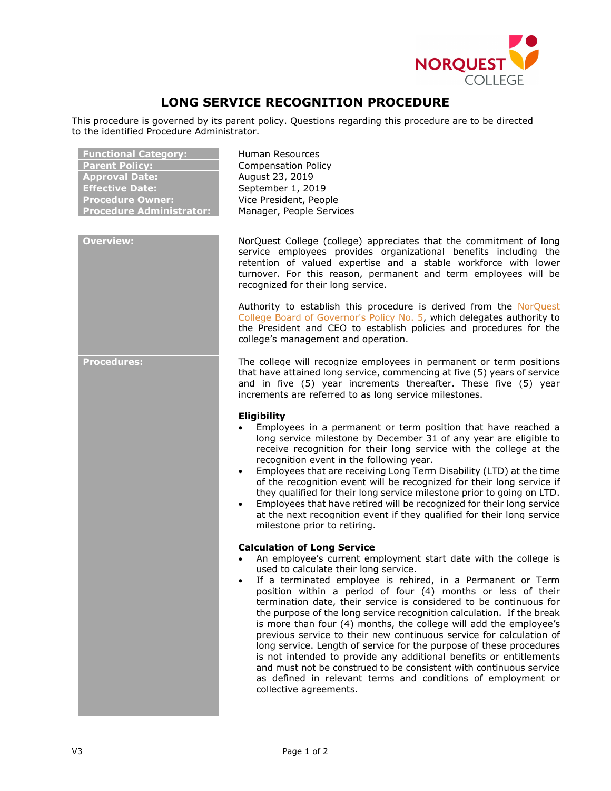

## **LONG SERVICE RECOGNITION PROCEDURE**

This procedure is governed by its parent policy. Questions regarding this procedure are to be directed to the identified Procedure Administrator.

| <b>Functional Category:</b>     |
|---------------------------------|
| <b>Parent Policy:</b>           |
| <b>Approval Date:</b>           |
| <b>Effective Date:</b>          |
| <b>Procedure Owner:</b>         |
| <b>Procedure Administrator:</b> |

**Functional Category:** Human Resources **Parent Policy:** Compensation Policy **Approval Date:** August 23, 2019 **Effective Date:** September 1, 2019 **Vice President, People Manager, People Services** 

**Overview:** NorQuest College (college) appreciates that the commitment of long service employees provides organizational benefits including the retention of valued expertise and a stable workforce with lower turnover. For this reason, permanent and term employees will be recognized for their long service.

> Authority to establish this procedure is derived from the NorQuest [College Board of Governor's Policy No. 5,](https://www.norquest.ca/NorquestCollege/media/pdf/about-us/board/policies-procedures/05-Board-Policy_Delegate_authority_to_President.pdf) which delegates authority to the President and CEO to establish policies and procedures for the college's management and operation.

**Procedures:** The college will recognize employees in permanent or term positions that have attained long service, commencing at five (5) years of service and in five (5) year increments thereafter. These five (5) year increments are referred to as long service milestones.

## **Eligibility**

- Employees in a permanent or term position that have reached a long service milestone by December 31 of any year are eligible to receive recognition for their long service with the college at the recognition event in the following year.
- Employees that are receiving Long Term Disability (LTD) at the time of the recognition event will be recognized for their long service if they qualified for their long service milestone prior to going on LTD.
- Employees that have retired will be recognized for their long service at the next recognition event if they qualified for their long service milestone prior to retiring.

## **Calculation of Long Service**

- An employee's current employment start date with the college is used to calculate their long service.
- If a terminated employee is rehired, in a Permanent or Term position within a period of four (4) months or less of their termination date, their service is considered to be continuous for the purpose of the long service recognition calculation. If the break is more than four (4) months, the college will add the employee's previous service to their new continuous service for calculation of long service. Length of service for the purpose of these procedures is not intended to provide any additional benefits or entitlements and must not be construed to be consistent with continuous service as defined in relevant terms and conditions of employment or collective agreements.